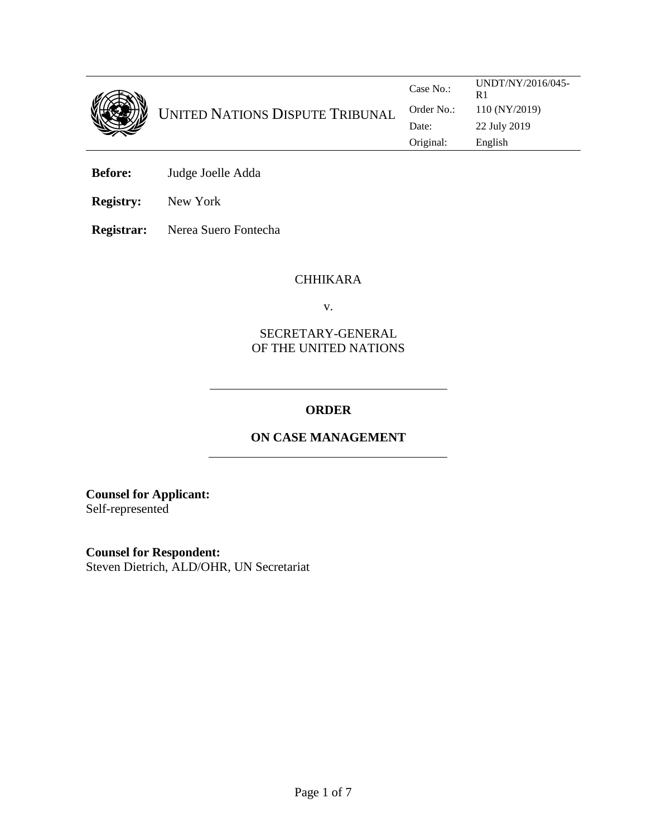

**Before:** Judge Joelle Adda

**Registry:** New York

**Registrar:** Nerea Suero Fontecha

#### CHHIKARA

v.

## SECRETARY-GENERAL OF THE UNITED NATIONS

# **ORDER**

# **ON CASE MANAGEMENT**

**Counsel for Applicant:**  Self-represented

**Counsel for Respondent:** 

Steven Dietrich, ALD/OHR, UN Secretariat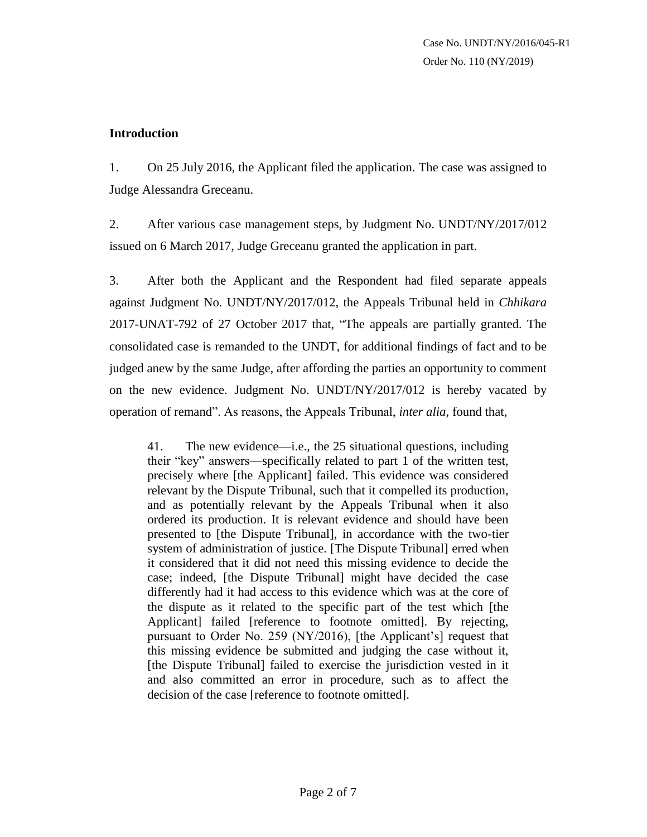## **Introduction**

1. On 25 July 2016, the Applicant filed the application. The case was assigned to Judge Alessandra Greceanu.

2. After various case management steps, by Judgment No. UNDT/NY/2017/012 issued on 6 March 2017, Judge Greceanu granted the application in part.

3. After both the Applicant and the Respondent had filed separate appeals against Judgment No. UNDT/NY/2017/012, the Appeals Tribunal held in *Chhikara* 2017-UNAT-792 of 27 October 2017 that, "The appeals are partially granted. The consolidated case is remanded to the UNDT, for additional findings of fact and to be judged anew by the same Judge, after affording the parties an opportunity to comment on the new evidence. Judgment No. UNDT/NY/2017/012 is hereby vacated by operation of remand". As reasons, the Appeals Tribunal, *inter alia*, found that,

41. The new evidence—i.e., the 25 situational questions, including their "key" answers—specifically related to part 1 of the written test, precisely where [the Applicant] failed. This evidence was considered relevant by the Dispute Tribunal, such that it compelled its production, and as potentially relevant by the Appeals Tribunal when it also ordered its production. It is relevant evidence and should have been presented to [the Dispute Tribunal], in accordance with the two-tier system of administration of justice. [The Dispute Tribunal] erred when it considered that it did not need this missing evidence to decide the case; indeed, [the Dispute Tribunal] might have decided the case differently had it had access to this evidence which was at the core of the dispute as it related to the specific part of the test which [the Applicant] failed [reference to footnote omitted]. By rejecting, pursuant to Order No. 259 (NY/2016), [the Applicant's] request that this missing evidence be submitted and judging the case without it, [the Dispute Tribunal] failed to exercise the jurisdiction vested in it and also committed an error in procedure, such as to affect the decision of the case [reference to footnote omitted].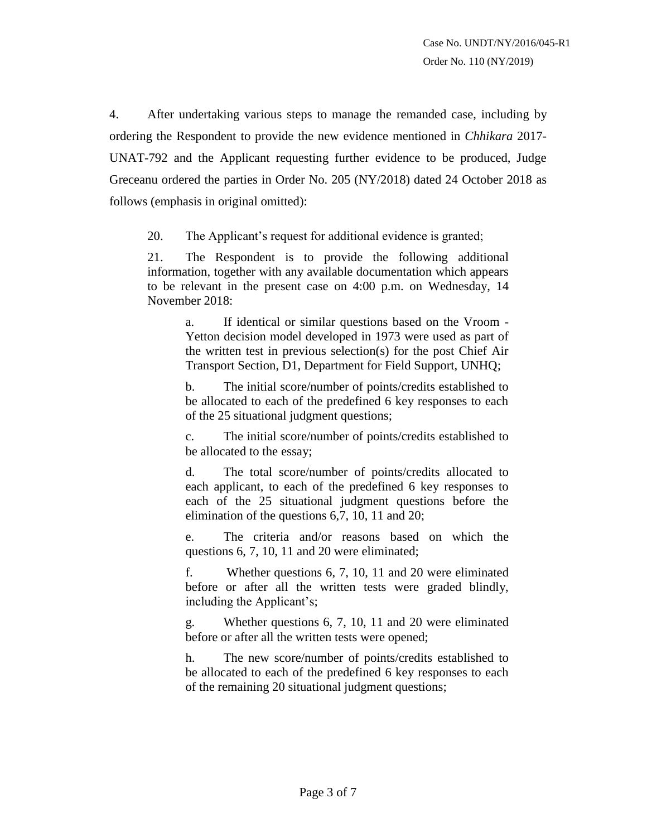4. After undertaking various steps to manage the remanded case, including by ordering the Respondent to provide the new evidence mentioned in *Chhikara* 2017- UNAT-792 and the Applicant requesting further evidence to be produced, Judge Greceanu ordered the parties in Order No. 205 (NY/2018) dated 24 October 2018 as follows (emphasis in original omitted):

20. The Applicant's request for additional evidence is granted;

21. The Respondent is to provide the following additional information, together with any available documentation which appears to be relevant in the present case on 4:00 p.m. on Wednesday, 14 November 2018:

> a. If identical or similar questions based on the Vroom - Yetton decision model developed in 1973 were used as part of the written test in previous selection(s) for the post Chief Air Transport Section, D1, Department for Field Support, UNHQ;

> b. The initial score/number of points/credits established to be allocated to each of the predefined 6 key responses to each of the 25 situational judgment questions;

> c. The initial score/number of points/credits established to be allocated to the essay;

> d. The total score/number of points/credits allocated to each applicant, to each of the predefined 6 key responses to each of the 25 situational judgment questions before the elimination of the questions 6,7, 10, 11 and 20;

> e. The criteria and/or reasons based on which the questions 6, 7, 10, 11 and 20 were eliminated;

> f. Whether questions 6, 7, 10, 11 and 20 were eliminated before or after all the written tests were graded blindly, including the Applicant's;

> g. Whether questions 6, 7, 10, 11 and 20 were eliminated before or after all the written tests were opened;

> h. The new score/number of points/credits established to be allocated to each of the predefined 6 key responses to each of the remaining 20 situational judgment questions;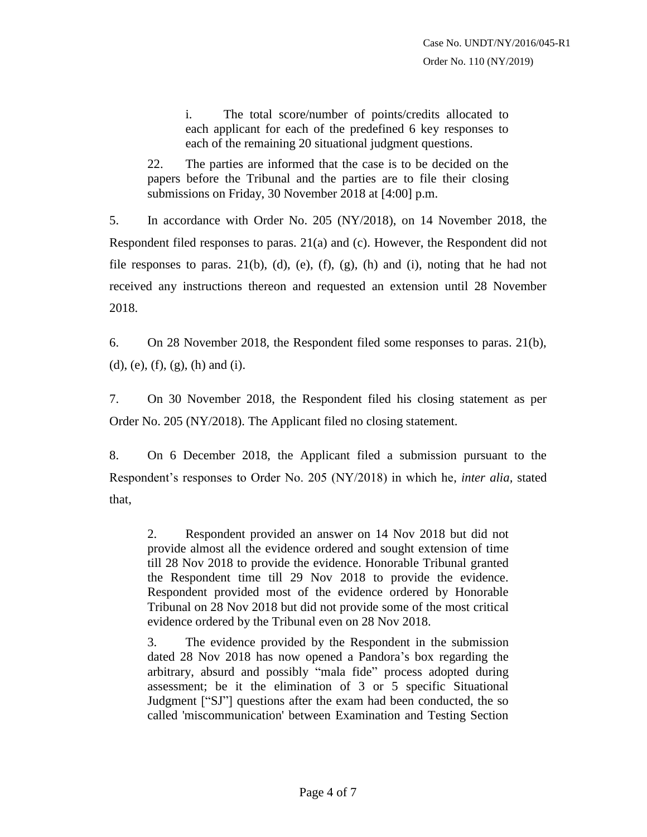i. The total score/number of points/credits allocated to each applicant for each of the predefined 6 key responses to each of the remaining 20 situational judgment questions.

22. The parties are informed that the case is to be decided on the papers before the Tribunal and the parties are to file their closing submissions on Friday, 30 November 2018 at [4:00] p.m.

5. In accordance with Order No. 205 (NY/2018), on 14 November 2018, the Respondent filed responses to paras. 21(a) and (c). However, the Respondent did not file responses to paras.  $21(b)$ , (d), (e), (f), (g), (h) and (i), noting that he had not received any instructions thereon and requested an extension until 28 November 2018.

6. On 28 November 2018, the Respondent filed some responses to paras. 21(b), (d), (e), (f), (g), (h) and (i).

7. On 30 November 2018, the Respondent filed his closing statement as per Order No. 205 (NY/2018). The Applicant filed no closing statement.

8. On 6 December 2018, the Applicant filed a submission pursuant to the Respondent's responses to Order No. 205 (NY/2018) in which he, *inter alia,* stated that,

2. Respondent provided an answer on 14 Nov 2018 but did not provide almost all the evidence ordered and sought extension of time till 28 Nov 2018 to provide the evidence. Honorable Tribunal granted the Respondent time till 29 Nov 2018 to provide the evidence. Respondent provided most of the evidence ordered by Honorable Tribunal on 28 Nov 2018 but did not provide some of the most critical evidence ordered by the Tribunal even on 28 Nov 2018.

3. The evidence provided by the Respondent in the submission dated 28 Nov 2018 has now opened a Pandora's box regarding the arbitrary, absurd and possibly "mala fide" process adopted during assessment; be it the elimination of 3 or 5 specific Situational Judgment ["SJ"] questions after the exam had been conducted, the so called 'miscommunication' between Examination and Testing Section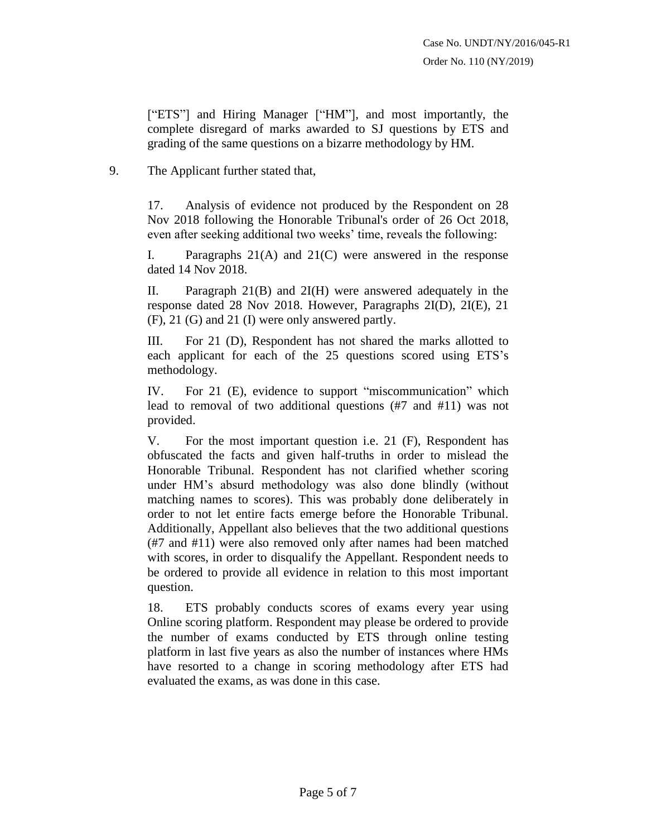["ETS"] and Hiring Manager ["HM"], and most importantly, the complete disregard of marks awarded to SJ questions by ETS and grading of the same questions on a bizarre methodology by HM.

## 9. The Applicant further stated that,

17. Analysis of evidence not produced by the Respondent on 28 Nov 2018 following the Honorable Tribunal's order of 26 Oct 2018, even after seeking additional two weeks' time, reveals the following:

I. Paragraphs 21(A) and 21(C) were answered in the response dated 14 Nov 2018.

II. Paragraph 21(B) and 2I(H) were answered adequately in the response dated 28 Nov 2018. However, Paragraphs 2I(D), 2I(E), 21 (F), 21 (G) and 21 (I) were only answered partly.

III. For 21 (D), Respondent has not shared the marks allotted to each applicant for each of the 25 questions scored using ETS's methodology.

IV. For 21 (E), evidence to support "miscommunication" which lead to removal of two additional questions (#7 and #11) was not provided.

V. For the most important question i.e. 21 (F), Respondent has obfuscated the facts and given half-truths in order to mislead the Honorable Tribunal. Respondent has not clarified whether scoring under HM's absurd methodology was also done blindly (without matching names to scores). This was probably done deliberately in order to not let entire facts emerge before the Honorable Tribunal. Additionally, Appellant also believes that the two additional questions (#7 and #11) were also removed only after names had been matched with scores, in order to disqualify the Appellant. Respondent needs to be ordered to provide all evidence in relation to this most important question.

18. ETS probably conducts scores of exams every year using Online scoring platform. Respondent may please be ordered to provide the number of exams conducted by ETS through online testing platform in last five years as also the number of instances where HMs have resorted to a change in scoring methodology after ETS had evaluated the exams, as was done in this case.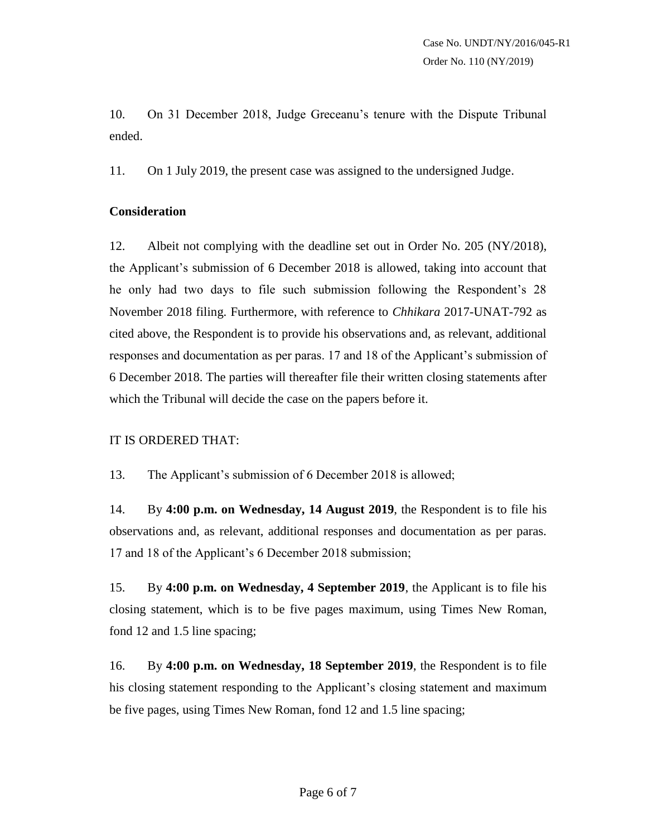10. On 31 December 2018, Judge Greceanu's tenure with the Dispute Tribunal ended.

11. On 1 July 2019, the present case was assigned to the undersigned Judge.

#### **Consideration**

12. Albeit not complying with the deadline set out in Order No. 205 (NY/2018), the Applicant's submission of 6 December 2018 is allowed, taking into account that he only had two days to file such submission following the Respondent's 28 November 2018 filing. Furthermore, with reference to *Chhikara* 2017-UNAT-792 as cited above, the Respondent is to provide his observations and, as relevant, additional responses and documentation as per paras. 17 and 18 of the Applicant's submission of 6 December 2018. The parties will thereafter file their written closing statements after which the Tribunal will decide the case on the papers before it.

#### IT IS ORDERED THAT:

13. The Applicant's submission of 6 December 2018 is allowed;

14. By **4:00 p.m. on Wednesday, 14 August 2019**, the Respondent is to file his observations and, as relevant, additional responses and documentation as per paras. 17 and 18 of the Applicant's 6 December 2018 submission;

15. By **4:00 p.m. on Wednesday, 4 September 2019**, the Applicant is to file his closing statement, which is to be five pages maximum, using Times New Roman, fond 12 and 1.5 line spacing;

16. By **4:00 p.m. on Wednesday, 18 September 2019**, the Respondent is to file his closing statement responding to the Applicant's closing statement and maximum be five pages, using Times New Roman, fond 12 and 1.5 line spacing;